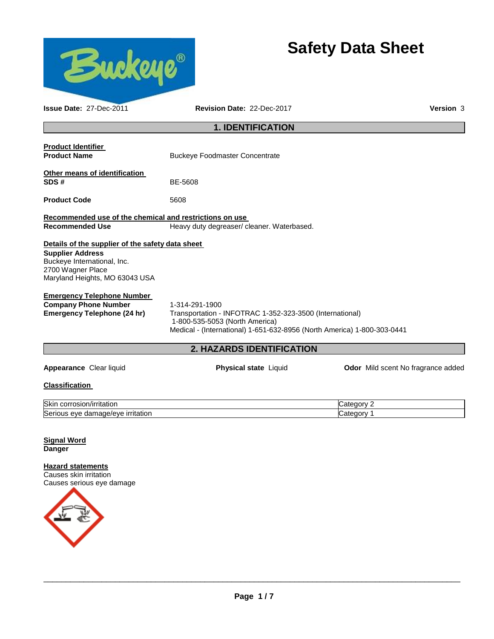

# **Safety Data Sheet**

| <b>Issue Date: 27-Dec-2011</b>                                                                                                                                    | Revision Date: 22-Dec-2017                                                                                                                                                              | <b>Version 3</b>                   |
|-------------------------------------------------------------------------------------------------------------------------------------------------------------------|-----------------------------------------------------------------------------------------------------------------------------------------------------------------------------------------|------------------------------------|
| <b>1. IDENTIFICATION</b>                                                                                                                                          |                                                                                                                                                                                         |                                    |
| <b>Product Identifier</b><br><b>Product Name</b>                                                                                                                  | <b>Buckeye Foodmaster Concentrate</b>                                                                                                                                                   |                                    |
| Other means of identification<br>SDS#                                                                                                                             | BE-5608                                                                                                                                                                                 |                                    |
| <b>Product Code</b>                                                                                                                                               | 5608                                                                                                                                                                                    |                                    |
| Recommended use of the chemical and restrictions on use<br><b>Recommended Use</b>                                                                                 | Heavy duty degreaser/ cleaner. Waterbased.                                                                                                                                              |                                    |
| Details of the supplier of the safety data sheet<br><b>Supplier Address</b><br>Buckeye International, Inc.<br>2700 Wagner Place<br>Maryland Heights, MO 63043 USA |                                                                                                                                                                                         |                                    |
| <b>Emergency Telephone Number</b><br><b>Company Phone Number</b><br><b>Emergency Telephone (24 hr)</b>                                                            | 1-314-291-1900<br>Transportation - INFOTRAC 1-352-323-3500 (International)<br>1-800-535-5053 (North America)<br>Medical - (International) 1-651-632-8956 (North America) 1-800-303-0441 |                                    |
|                                                                                                                                                                   | 2. HAZARDS IDENTIFICATION                                                                                                                                                               |                                    |
| Appearance Clear liquid                                                                                                                                           | <b>Physical state Liquid</b>                                                                                                                                                            | Odor Mild scent No fragrance added |
| <b>Classification</b>                                                                                                                                             |                                                                                                                                                                                         |                                    |
| Skin corrosion/irritation<br>Serious eye damage/eye irritation                                                                                                    |                                                                                                                                                                                         | Category 2<br>Category 1           |
| <b>Signal Word</b><br><b>Danger</b>                                                                                                                               |                                                                                                                                                                                         |                                    |
| <b>Hazard statements</b><br>Causes skin irritation<br>Causes serious eye damage                                                                                   |                                                                                                                                                                                         |                                    |

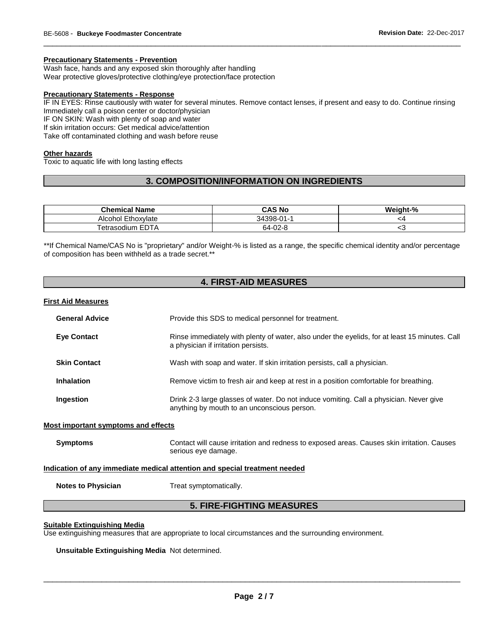#### **Precautionary Statements - Prevention**

Wash face, hands and any exposed skin thoroughly after handling

Wear protective gloves/protective clothing/eye protection/face protection

# **Precautionary Statements - Response**

IF IN EYES: Rinse cautiously with water for several minutes. Remove contact lenses, if present and easy to do. Continue rinsing Immediately call a poison center or doctor/physician

\_\_\_\_\_\_\_\_\_\_\_\_\_\_\_\_\_\_\_\_\_\_\_\_\_\_\_\_\_\_\_\_\_\_\_\_\_\_\_\_\_\_\_\_\_\_\_\_\_\_\_\_\_\_\_\_\_\_\_\_\_\_\_\_\_\_\_\_\_\_\_\_\_\_\_\_\_\_\_\_\_\_\_\_\_\_\_\_\_\_\_\_\_

IF ON SKIN: Wash with plenty of soap and water

If skin irritation occurs: Get medical advice/attention

Take off contaminated clothing and wash before reuse

#### **Other hazards**

Toxic to aquatic life with long lasting effects

# **3. COMPOSITION/INFORMATION ON INGREDIENTS**

| <b>Chemical Name</b> | CAS No     | Weight-% |
|----------------------|------------|----------|
| Alcohol Ethoxylate   | 34398-01-1 | ٠4       |
| Fetrasodium EDTA     | 64-02-8    | ∼ບ       |

\*\*If Chemical Name/CAS No is "proprietary" and/or Weight-% is listed as a range, the specific chemical identity and/or percentage of composition has been withheld as a trade secret.\*\*

# **4. FIRST-AID MEASURES**

# **First Aid Measures**

| <b>General Advice</b>                      | Provide this SDS to medical personnel for treatment.                                                                                  |
|--------------------------------------------|---------------------------------------------------------------------------------------------------------------------------------------|
| <b>Eye Contact</b>                         | Rinse immediately with plenty of water, also under the eyelids, for at least 15 minutes. Call<br>a physician if irritation persists.  |
| <b>Skin Contact</b>                        | Wash with soap and water. If skin irritation persists, call a physician.                                                              |
| Inhalation                                 | Remove victim to fresh air and keep at rest in a position comfortable for breathing.                                                  |
| Ingestion                                  | Drink 2-3 large glasses of water. Do not induce vomiting. Call a physician. Never give<br>anything by mouth to an unconscious person. |
| <b>Most important symptoms and effects</b> |                                                                                                                                       |

| Symptoms | Contact will cause irritation and redness to exposed areas. Causes skin irritation. Causes |
|----------|--------------------------------------------------------------------------------------------|
|          | serious eye damage.                                                                        |

#### **Indication of any immediate medical attention and special treatment needed**

**Notes to Physician Treat symptomatically.** 

# **5. FIRE-FIGHTING MEASURES**

#### **Suitable Extinguishing Media**

Use extinguishing measures that are appropriate to local circumstances and the surrounding environment.

**Unsuitable Extinguishing Media** Not determined.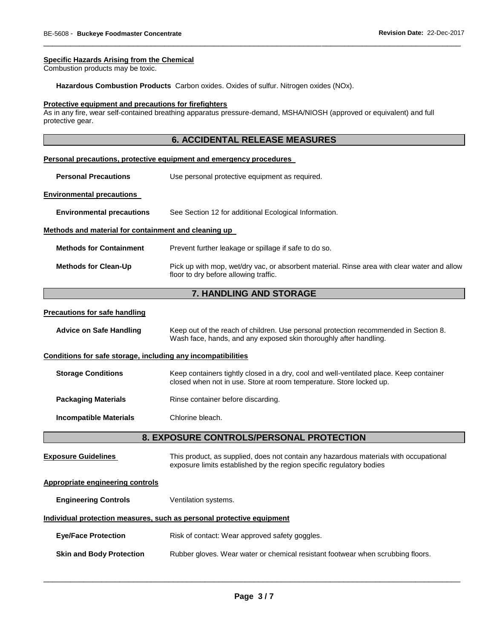# **Specific Hazards Arising from the Chemical**

Combustion products may be toxic.

**Hazardous Combustion Products** Carbon oxides. Oxides of sulfur. Nitrogen oxides (NOx).

#### **Protective equipment and precautions for firefighters**

As in any fire, wear self-contained breathing apparatus pressure-demand, MSHA/NIOSH (approved or equivalent) and full protective gear.

\_\_\_\_\_\_\_\_\_\_\_\_\_\_\_\_\_\_\_\_\_\_\_\_\_\_\_\_\_\_\_\_\_\_\_\_\_\_\_\_\_\_\_\_\_\_\_\_\_\_\_\_\_\_\_\_\_\_\_\_\_\_\_\_\_\_\_\_\_\_\_\_\_\_\_\_\_\_\_\_\_\_\_\_\_\_\_\_\_\_\_\_\_

|                                                              | <b>6. ACCIDENTAL RELEASE MEASURES</b>                                                                                                                          |  |
|--------------------------------------------------------------|----------------------------------------------------------------------------------------------------------------------------------------------------------------|--|
|                                                              | Personal precautions, protective equipment and emergency procedures                                                                                            |  |
|                                                              |                                                                                                                                                                |  |
| <b>Personal Precautions</b>                                  | Use personal protective equipment as required.                                                                                                                 |  |
| <b>Environmental precautions</b>                             |                                                                                                                                                                |  |
| <b>Environmental precautions</b>                             | See Section 12 for additional Ecological Information.                                                                                                          |  |
| Methods and material for containment and cleaning up         |                                                                                                                                                                |  |
| <b>Methods for Containment</b>                               | Prevent further leakage or spillage if safe to do so.                                                                                                          |  |
| <b>Methods for Clean-Up</b>                                  | Pick up with mop, wet/dry vac, or absorbent material. Rinse area with clear water and allow<br>floor to dry before allowing traffic.                           |  |
|                                                              | 7. HANDLING AND STORAGE                                                                                                                                        |  |
| <b>Precautions for safe handling</b>                         |                                                                                                                                                                |  |
| <b>Advice on Safe Handling</b>                               | Keep out of the reach of children. Use personal protection recommended in Section 8.<br>Wash face, hands, and any exposed skin thoroughly after handling.      |  |
| Conditions for safe storage, including any incompatibilities |                                                                                                                                                                |  |
| <b>Storage Conditions</b>                                    | Keep containers tightly closed in a dry, cool and well-ventilated place. Keep container<br>closed when not in use. Store at room temperature. Store locked up. |  |
| <b>Packaging Materials</b>                                   | Rinse container before discarding.                                                                                                                             |  |
| <b>Incompatible Materials</b>                                | Chlorine bleach.                                                                                                                                               |  |
| 8. EXPOSURE CONTROLS/PERSONAL PROTECTION                     |                                                                                                                                                                |  |
| <b>Exposure Guidelines</b>                                   | This product, as supplied, does not contain any hazardous materials with occupational<br>exposure limits established by the region specific regulatory bodies  |  |
| <b>Appropriate engineering controls</b>                      |                                                                                                                                                                |  |
| <b>Engineering Controls</b>                                  | Ventilation systems.                                                                                                                                           |  |
|                                                              | Individual protection measures, such as personal protective equipment                                                                                          |  |

**Eye/Face Protection Risk of contact: Wear approved safety goggles.** 

**Skin and Body Protection** Rubber gloves. Wear water or chemical resistant footwear when scrubbing floors.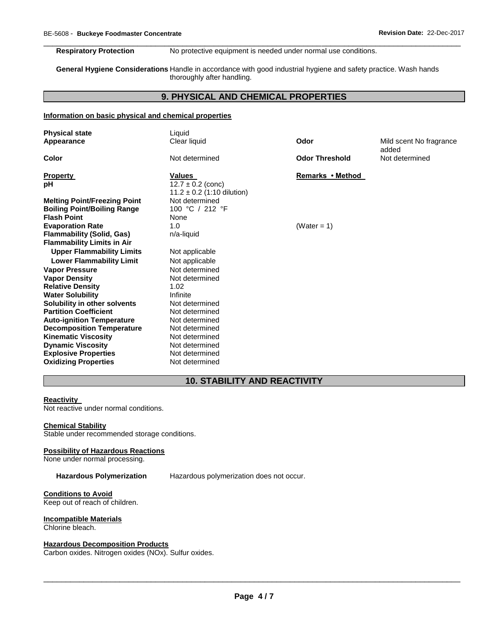**Respiratory Protection** No protective equipment is needed under normal use conditions.

**General Hygiene Considerations** Handle in accordance with good industrial hygiene and safety practice. Wash hands thoroughly after handling.

# **9. PHYSICAL AND CHEMICAL PROPERTIES**

\_\_\_\_\_\_\_\_\_\_\_\_\_\_\_\_\_\_\_\_\_\_\_\_\_\_\_\_\_\_\_\_\_\_\_\_\_\_\_\_\_\_\_\_\_\_\_\_\_\_\_\_\_\_\_\_\_\_\_\_\_\_\_\_\_\_\_\_\_\_\_\_\_\_\_\_\_\_\_\_\_\_\_\_\_\_\_\_\_\_\_\_\_

# **Information on basic physical and chemical properties**

| <b>Physical state</b><br>Appearance | Liquid<br>Clear liquid                 | Odor                  | Mild scent No fragrance<br>added |
|-------------------------------------|----------------------------------------|-----------------------|----------------------------------|
| Color                               | Not determined                         | <b>Odor Threshold</b> | Not determined                   |
| <b>Property</b><br>рH               | <b>Values</b><br>$12.7 \pm 0.2$ (conc) | Remarks • Method      |                                  |
|                                     | $11.2 \pm 0.2$ (1:10 dilution)         |                       |                                  |
| <b>Melting Point/Freezing Point</b> | Not determined                         |                       |                                  |
| <b>Boiling Point/Boiling Range</b>  | 100 °C / 212 °F                        |                       |                                  |
| <b>Flash Point</b>                  | None                                   |                       |                                  |
| <b>Evaporation Rate</b>             | 1.0                                    | (Water = 1)           |                                  |
| <b>Flammability (Solid, Gas)</b>    | n/a-liquid                             |                       |                                  |
| <b>Flammability Limits in Air</b>   |                                        |                       |                                  |
| <b>Upper Flammability Limits</b>    | Not applicable                         |                       |                                  |
| <b>Lower Flammability Limit</b>     | Not applicable                         |                       |                                  |
| <b>Vapor Pressure</b>               | Not determined                         |                       |                                  |
| <b>Vapor Density</b>                | Not determined                         |                       |                                  |
| <b>Relative Density</b>             | 1.02                                   |                       |                                  |
| <b>Water Solubility</b>             | Infinite                               |                       |                                  |
| Solubility in other solvents        | Not determined                         |                       |                                  |
| <b>Partition Coefficient</b>        | Not determined                         |                       |                                  |
| <b>Auto-ignition Temperature</b>    | Not determined                         |                       |                                  |
| <b>Decomposition Temperature</b>    | Not determined                         |                       |                                  |
| <b>Kinematic Viscosity</b>          | Not determined                         |                       |                                  |
| <b>Dynamic Viscosity</b>            | Not determined                         |                       |                                  |
| <b>Explosive Properties</b>         | Not determined                         |                       |                                  |
| <b>Oxidizing Properties</b>         | Not determined                         |                       |                                  |

# **10. STABILITY AND REACTIVITY**

# **Reactivity**

Not reactive under normal conditions.

# **Chemical Stability**

Stable under recommended storage conditions.

#### **Possibility of Hazardous Reactions**

None under normal processing.

**Hazardous Polymerization** Hazardous polymerization does not occur.

# **Conditions to Avoid**

Keep out of reach of children.

# **Incompatible Materials**

Chlorine bleach.

# **Hazardous Decomposition Products**

Carbon oxides. Nitrogen oxides (NOx). Sulfur oxides.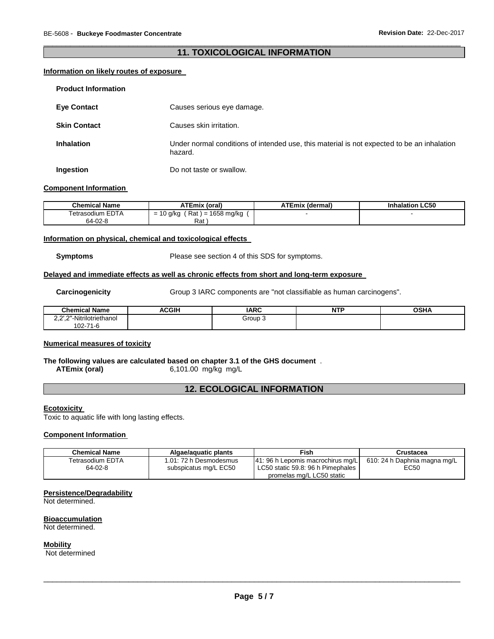# \_\_\_\_\_\_\_\_\_\_\_\_\_\_\_\_\_\_\_\_\_\_\_\_\_\_\_\_\_\_\_\_\_\_\_\_\_\_\_\_\_\_\_\_\_\_\_\_\_\_\_\_\_\_\_\_\_\_\_\_\_\_\_\_\_\_\_\_\_\_\_\_\_\_\_\_\_\_\_\_\_\_\_\_\_\_\_\_\_\_\_\_\_ **11. TOXICOLOGICAL INFORMATION**

# **Information on likely routes of exposure**

| <b>Product Information</b> |                                                                                                       |
|----------------------------|-------------------------------------------------------------------------------------------------------|
| <b>Eve Contact</b>         | Causes serious eye damage.                                                                            |
| <b>Skin Contact</b>        | Causes skin irritation.                                                                               |
| <b>Inhalation</b>          | Under normal conditions of intended use, this material is not expected to be an inhalation<br>hazard. |
| Ingestion                  | Do not taste or swallow.                                                                              |

## **Component Information**

| Chemical Name    | <b>ATEmix (oral)</b>                                                | <b>ATEmix (dermal)</b> | <b>Inhalation LC50</b> |
|------------------|---------------------------------------------------------------------|------------------------|------------------------|
| Tetrasodium EDTA | Rat<br>1658 mg/kg<br>g/kg<br>$\overline{\phantom{0}}$<br>$r =$<br>- |                        |                        |
| 64-02-8          | Rat                                                                 |                        |                        |

# **Information on physical, chemical and toxicological effects**

**Symptoms** Please see section 4 of this SDS for symptoms.

#### **Delayed and immediate effects as well as chronic effects from short and long-term exposure**

**Carcinogenicity** Group 3 IARC components are "not classifiable as human carcinogens".

| .<br>Chemical <sub>1</sub><br>Name                                   | <b>ACGIH</b> | <b>IARC</b> | .<br>N<br>. | <b>OSHA</b> |
|----------------------------------------------------------------------|--------------|-------------|-------------|-------------|
| "-Nitrilotriethanol<br>יות ה<br><u>.</u><br>$\overline{\phantom{a}}$ |              | Group J     |             |             |
| $02 - 71$<br>1-C                                                     |              |             |             |             |

# **Numerical measures of toxicity**

#### **The following values are calculated based on chapter 3.1 of the GHS document** .<br>ATEmix (oral) 6,101.00 mg/kg mg/L **ATEmix (oral)** 6,101.00 mg/kg mg/L

# **12. ECOLOGICAL INFORMATION**

#### **Ecotoxicity**

Toxic to aquatic life with long lasting effects.

# **Component Information**

| <b>Chemical Name</b>        | Algae/aguatic plants                            | Fish                                                                                                | Crustacea                            |
|-----------------------------|-------------------------------------------------|-----------------------------------------------------------------------------------------------------|--------------------------------------|
| Tetrasodium EDTA<br>64-02-8 | 1.01: 72 h Desmodesmus<br>subspicatus mg/L EC50 | 41: 96 h Lepomis macrochirus mg/L<br>LC50 static 59.8: 96 h Pimephales<br>promelas mg/L LC50 static | 610: 24 h Daphnia magna mg/L<br>EC50 |

# **Persistence/Degradability**

Not determined.

#### **Bioaccumulation** Not determined.

# **Mobility**

Not determined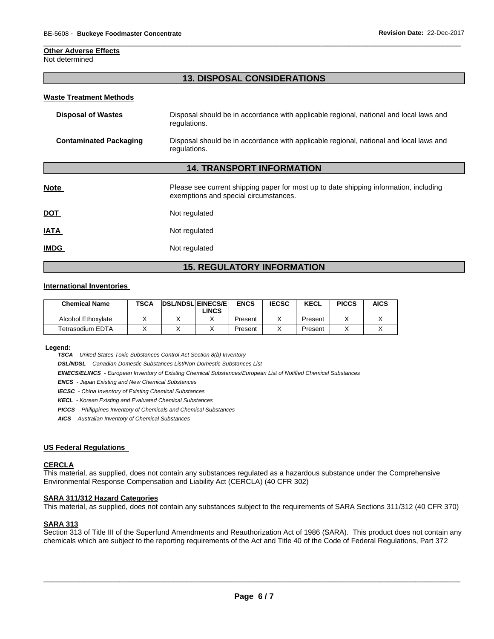#### **Other Adverse Effects**

Not determined

# **13. DISPOSAL CONSIDERATIONS**

\_\_\_\_\_\_\_\_\_\_\_\_\_\_\_\_\_\_\_\_\_\_\_\_\_\_\_\_\_\_\_\_\_\_\_\_\_\_\_\_\_\_\_\_\_\_\_\_\_\_\_\_\_\_\_\_\_\_\_\_\_\_\_\_\_\_\_\_\_\_\_\_\_\_\_\_\_\_\_\_\_\_\_\_\_\_\_\_\_\_\_\_\_

#### **Waste Treatment Methods**

| Disposal of Wastes     | Disposal should be in accordance with applicable regional, national and local laws and<br>regulations. |
|------------------------|--------------------------------------------------------------------------------------------------------|
| Contaminated Packaging | Disposal should be in accordance with applicable regional, national and local laws and<br>regulations. |

## **14. TRANSPORT INFORMATION**

| <b>Note</b> | Please see current shipping paper for most up to date shipping information, including<br>exemptions and special circumstances. |
|-------------|--------------------------------------------------------------------------------------------------------------------------------|
| <u>DOT</u>  | Not regulated                                                                                                                  |
| <u>IATA</u> | Not regulated                                                                                                                  |
| <b>IMDG</b> | Not regulated                                                                                                                  |

# **15. REGULATORY INFORMATION**

### **International Inventories**

| <b>Chemical Name</b> | <b>TSCA</b> | <b>DSL/NDSL EINECS/E</b> |              | <b>ENCS</b> | <b>IECSC</b> | KECL    | <b>PICCS</b> | <b>AICS</b> |
|----------------------|-------------|--------------------------|--------------|-------------|--------------|---------|--------------|-------------|
|                      |             |                          | <b>_INCS</b> |             |              |         |              |             |
| Alcohol Ethoxylate   |             |                          |              | Present     |              | Present |              |             |
| Tetrasodium EDTA     |             |                          |              | Present     |              | Present |              |             |

#### **Legend:**

*TSCA - United States Toxic Substances Control Act Section 8(b) Inventory* 

*DSL/NDSL - Canadian Domestic Substances List/Non-Domestic Substances List* 

*EINECS/ELINCS - European Inventory of Existing Chemical Substances/European List of Notified Chemical Substances* 

*ENCS - Japan Existing and New Chemical Substances* 

*IECSC - China Inventory of Existing Chemical Substances* 

*KECL - Korean Existing and Evaluated Chemical Substances* 

*PICCS - Philippines Inventory of Chemicals and Chemical Substances* 

*AICS - Australian Inventory of Chemical Substances* 

#### **US Federal Regulations**

#### **CERCLA**

This material, as supplied, does not contain any substances regulated as a hazardous substance under the Comprehensive Environmental Response Compensation and Liability Act (CERCLA) (40 CFR 302)

#### **SARA 311/312 Hazard Categories**

This material, as supplied, does not contain any substances subject to the requirements of SARA Sections 311/312 (40 CFR 370)

# **SARA 313**

Section 313 of Title III of the Superfund Amendments and Reauthorization Act of 1986 (SARA). This product does not contain any chemicals which are subject to the reporting requirements of the Act and Title 40 of the Code of Federal Regulations, Part 372